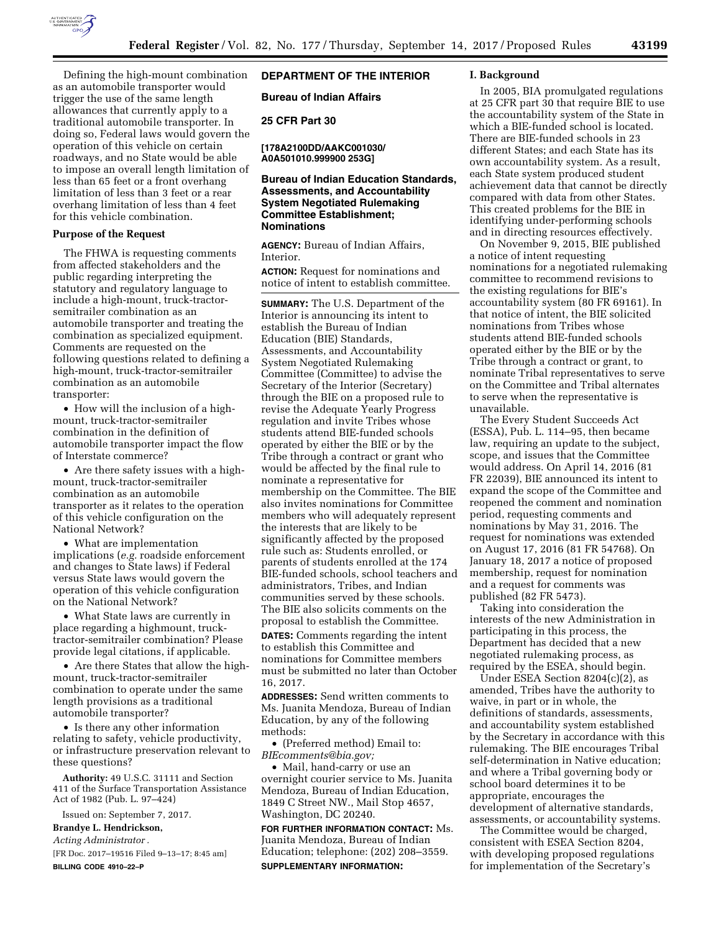

Defining the high-mount combination as an automobile transporter would trigger the use of the same length allowances that currently apply to a traditional automobile transporter. In doing so, Federal laws would govern the operation of this vehicle on certain roadways, and no State would be able to impose an overall length limitation of less than 65 feet or a front overhang limitation of less than 3 feet or a rear overhang limitation of less than 4 feet for this vehicle combination.

#### **Purpose of the Request**

The FHWA is requesting comments from affected stakeholders and the public regarding interpreting the statutory and regulatory language to include a high-mount, truck-tractorsemitrailer combination as an automobile transporter and treating the combination as specialized equipment. Comments are requested on the following questions related to defining a high-mount, truck-tractor-semitrailer combination as an automobile transporter:

• How will the inclusion of a highmount, truck-tractor-semitrailer combination in the definition of automobile transporter impact the flow of Interstate commerce?

• Are there safety issues with a highmount, truck-tractor-semitrailer combination as an automobile transporter as it relates to the operation of this vehicle configuration on the National Network?

• What are implementation implications (*e.g.* roadside enforcement and changes to State laws) if Federal versus State laws would govern the operation of this vehicle configuration on the National Network?

• What State laws are currently in place regarding a highmount, trucktractor-semitrailer combination? Please provide legal citations, if applicable.

• Are there States that allow the highmount, truck-tractor-semitrailer combination to operate under the same length provisions as a traditional automobile transporter?

• Is there any other information relating to safety, vehicle productivity, or infrastructure preservation relevant to these questions?

**Authority:** 49 U.S.C. 31111 and Section 411 of the Surface Transportation Assistance Act of 1982 (Pub. L. 97–424)

Issued on: September 7, 2017.

**Brandye L. Hendrickson,** 

*Acting Administrator .* 

[FR Doc. 2017–19516 Filed 9–13–17; 8:45 am] **BILLING CODE 4910–22–P** 

# **DEPARTMENT OF THE INTERIOR**

**Bureau of Indian Affairs** 

**25 CFR Part 30** 

**[178A2100DD/AAKC001030/ A0A501010.999900 253G]** 

## **Bureau of Indian Education Standards, Assessments, and Accountability System Negotiated Rulemaking Committee Establishment; Nominations**

**AGENCY:** Bureau of Indian Affairs, Interior.

**ACTION:** Request for nominations and notice of intent to establish committee.

**SUMMARY:** The U.S. Department of the Interior is announcing its intent to establish the Bureau of Indian Education (BIE) Standards, Assessments, and Accountability System Negotiated Rulemaking Committee (Committee) to advise the Secretary of the Interior (Secretary) through the BIE on a proposed rule to revise the Adequate Yearly Progress regulation and invite Tribes whose students attend BIE-funded schools operated by either the BIE or by the Tribe through a contract or grant who would be affected by the final rule to nominate a representative for membership on the Committee. The BIE also invites nominations for Committee members who will adequately represent the interests that are likely to be significantly affected by the proposed rule such as: Students enrolled, or parents of students enrolled at the 174 BIE-funded schools, school teachers and administrators, Tribes, and Indian communities served by these schools. The BIE also solicits comments on the proposal to establish the Committee.

**DATES:** Comments regarding the intent to establish this Committee and nominations for Committee members must be submitted no later than October 16, 2017.

**ADDRESSES:** Send written comments to Ms. Juanita Mendoza, Bureau of Indian Education, by any of the following methods:

• (Preferred method) Email to: *[BIEcomments@bia.gov;](mailto:BIEcomments@bia.gov)* 

• Mail, hand-carry or use an overnight courier service to Ms. Juanita Mendoza, Bureau of Indian Education, 1849 C Street NW., Mail Stop 4657, Washington, DC 20240.

**FOR FURTHER INFORMATION CONTACT:** Ms. Juanita Mendoza, Bureau of Indian Education; telephone: (202) 208–3559. **SUPPLEMENTARY INFORMATION:** 

## **I. Background**

In 2005, BIA promulgated regulations at 25 CFR part 30 that require BIE to use the accountability system of the State in which a BIE-funded school is located. There are BIE-funded schools in 23 different States; and each State has its own accountability system. As a result, each State system produced student achievement data that cannot be directly compared with data from other States. This created problems for the BIE in identifying under-performing schools and in directing resources effectively.

On November 9, 2015, BIE published a notice of intent requesting nominations for a negotiated rulemaking committee to recommend revisions to the existing regulations for BIE's accountability system (80 FR 69161). In that notice of intent, the BIE solicited nominations from Tribes whose students attend BIE-funded schools operated either by the BIE or by the Tribe through a contract or grant, to nominate Tribal representatives to serve on the Committee and Tribal alternates to serve when the representative is unavailable.

The Every Student Succeeds Act (ESSA), Pub. L. 114–95, then became law, requiring an update to the subject, scope, and issues that the Committee would address. On April 14, 2016 (81 FR 22039), BIE announced its intent to expand the scope of the Committee and reopened the comment and nomination period, requesting comments and nominations by May 31, 2016. The request for nominations was extended on August 17, 2016 (81 FR 54768). On January 18, 2017 a notice of proposed membership, request for nomination and a request for comments was published (82 FR 5473).

Taking into consideration the interests of the new Administration in participating in this process, the Department has decided that a new negotiated rulemaking process, as required by the ESEA, should begin.

Under ESEA Section  $8204(c)(2)$ , as amended, Tribes have the authority to waive, in part or in whole, the definitions of standards, assessments, and accountability system established by the Secretary in accordance with this rulemaking. The BIE encourages Tribal self-determination in Native education; and where a Tribal governing body or school board determines it to be appropriate, encourages the development of alternative standards, assessments, or accountability systems.

The Committee would be charged, consistent with ESEA Section 8204, with developing proposed regulations for implementation of the Secretary's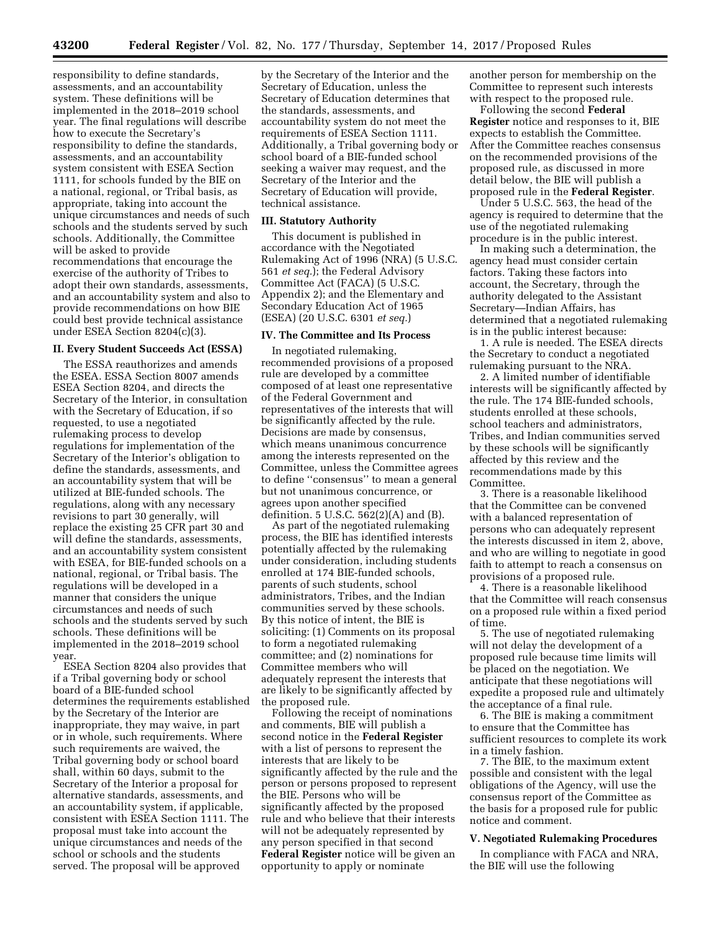responsibility to define standards, assessments, and an accountability system. These definitions will be implemented in the 2018–2019 school year. The final regulations will describe how to execute the Secretary's responsibility to define the standards, assessments, and an accountability system consistent with ESEA Section 1111, for schools funded by the BIE on a national, regional, or Tribal basis, as appropriate, taking into account the unique circumstances and needs of such schools and the students served by such schools. Additionally, the Committee will be asked to provide recommendations that encourage the exercise of the authority of Tribes to adopt their own standards, assessments, and an accountability system and also to provide recommendations on how BIE could best provide technical assistance under ESEA Section 8204(c)(3).

## **II. Every Student Succeeds Act (ESSA)**

The ESSA reauthorizes and amends the ESEA. ESSA Section 8007 amends ESEA Section 8204, and directs the Secretary of the Interior, in consultation with the Secretary of Education, if so requested, to use a negotiated rulemaking process to develop regulations for implementation of the Secretary of the Interior's obligation to define the standards, assessments, and an accountability system that will be utilized at BIE-funded schools. The regulations, along with any necessary revisions to part 30 generally, will replace the existing 25 CFR part 30 and will define the standards, assessments, and an accountability system consistent with ESEA, for BIE-funded schools on a national, regional, or Tribal basis. The regulations will be developed in a manner that considers the unique circumstances and needs of such schools and the students served by such schools. These definitions will be implemented in the 2018–2019 school year.

ESEA Section 8204 also provides that if a Tribal governing body or school board of a BIE-funded school determines the requirements established by the Secretary of the Interior are inappropriate, they may waive, in part or in whole, such requirements. Where such requirements are waived, the Tribal governing body or school board shall, within 60 days, submit to the Secretary of the Interior a proposal for alternative standards, assessments, and an accountability system, if applicable, consistent with ESEA Section 1111. The proposal must take into account the unique circumstances and needs of the school or schools and the students served. The proposal will be approved

by the Secretary of the Interior and the Secretary of Education, unless the Secretary of Education determines that the standards, assessments, and accountability system do not meet the requirements of ESEA Section 1111. Additionally, a Tribal governing body or school board of a BIE-funded school seeking a waiver may request, and the Secretary of the Interior and the Secretary of Education will provide, technical assistance.

#### **III. Statutory Authority**

This document is published in accordance with the Negotiated Rulemaking Act of 1996 (NRA) (5 U.S.C. 561 *et seq.*); the Federal Advisory Committee Act (FACA) (5 U.S.C. Appendix 2); and the Elementary and Secondary Education Act of 1965 (ESEA) (20 U.S.C. 6301 *et seq.*)

#### **IV. The Committee and Its Process**

In negotiated rulemaking, recommended provisions of a proposed rule are developed by a committee composed of at least one representative of the Federal Government and representatives of the interests that will be significantly affected by the rule. Decisions are made by consensus, which means unanimous concurrence among the interests represented on the Committee, unless the Committee agrees to define ''consensus'' to mean a general but not unanimous concurrence, or agrees upon another specified definition. 5 U.S.C. 562(2)(A) and (B).

As part of the negotiated rulemaking process, the BIE has identified interests potentially affected by the rulemaking under consideration, including students enrolled at 174 BIE-funded schools, parents of such students, school administrators, Tribes, and the Indian communities served by these schools. By this notice of intent, the BIE is soliciting: (1) Comments on its proposal to form a negotiated rulemaking committee; and (2) nominations for Committee members who will adequately represent the interests that are likely to be significantly affected by the proposed rule.

Following the receipt of nominations and comments, BIE will publish a second notice in the **Federal Register**  with a list of persons to represent the interests that are likely to be significantly affected by the rule and the person or persons proposed to represent the BIE. Persons who will be significantly affected by the proposed rule and who believe that their interests will not be adequately represented by any person specified in that second **Federal Register** notice will be given an opportunity to apply or nominate

another person for membership on the Committee to represent such interests with respect to the proposed rule.

Following the second **Federal Register** notice and responses to it, BIE expects to establish the Committee. After the Committee reaches consensus on the recommended provisions of the proposed rule, as discussed in more detail below, the BIE will publish a proposed rule in the **Federal Register**.

Under 5 U.S.C. 563, the head of the agency is required to determine that the use of the negotiated rulemaking procedure is in the public interest.

In making such a determination, the agency head must consider certain factors. Taking these factors into account, the Secretary, through the authority delegated to the Assistant Secretary—Indian Affairs, has determined that a negotiated rulemaking is in the public interest because:

1. A rule is needed. The ESEA directs the Secretary to conduct a negotiated rulemaking pursuant to the NRA.

2. A limited number of identifiable interests will be significantly affected by the rule. The 174 BIE-funded schools, students enrolled at these schools, school teachers and administrators, Tribes, and Indian communities served by these schools will be significantly affected by this review and the recommendations made by this Committee.

3. There is a reasonable likelihood that the Committee can be convened with a balanced representation of persons who can adequately represent the interests discussed in item 2, above, and who are willing to negotiate in good faith to attempt to reach a consensus on provisions of a proposed rule.

4. There is a reasonable likelihood that the Committee will reach consensus on a proposed rule within a fixed period of time.

5. The use of negotiated rulemaking will not delay the development of a proposed rule because time limits will be placed on the negotiation. We anticipate that these negotiations will expedite a proposed rule and ultimately the acceptance of a final rule.

6. The BIE is making a commitment to ensure that the Committee has sufficient resources to complete its work in a timely fashion.

7. The BIE, to the maximum extent possible and consistent with the legal obligations of the Agency, will use the consensus report of the Committee as the basis for a proposed rule for public notice and comment.

#### **V. Negotiated Rulemaking Procedures**

In compliance with FACA and NRA, the BIE will use the following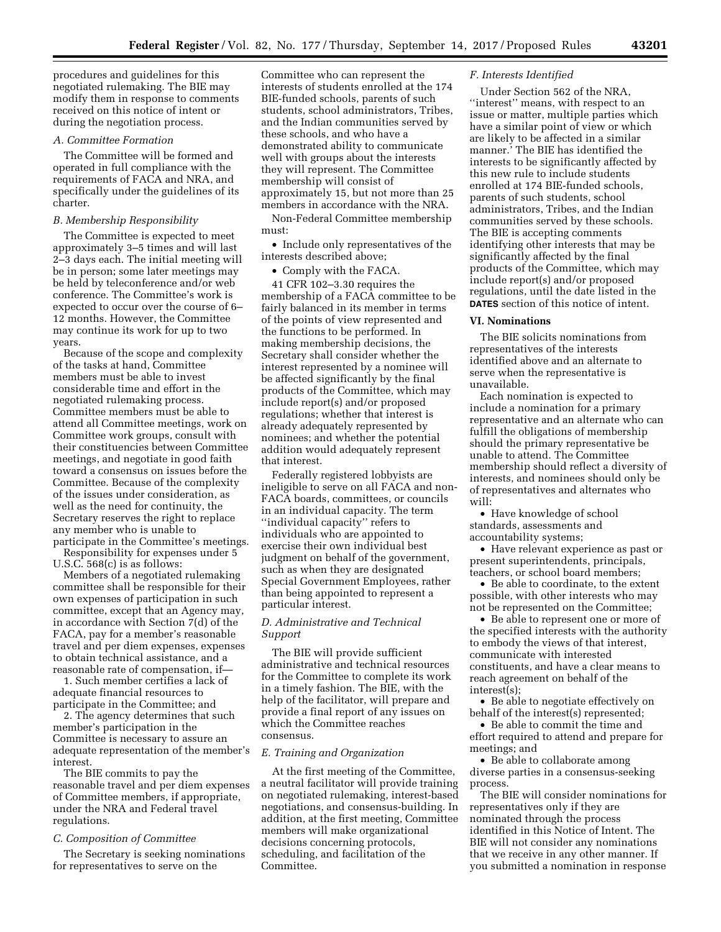procedures and guidelines for this negotiated rulemaking. The BIE may modify them in response to comments received on this notice of intent or during the negotiation process.

### *A. Committee Formation*

The Committee will be formed and operated in full compliance with the requirements of FACA and NRA, and specifically under the guidelines of its charter.

## *B. Membership Responsibility*

The Committee is expected to meet approximately 3–5 times and will last 2–3 days each. The initial meeting will be in person; some later meetings may be held by teleconference and/or web conference. The Committee's work is expected to occur over the course of 6– 12 months. However, the Committee may continue its work for up to two years.

Because of the scope and complexity of the tasks at hand, Committee members must be able to invest considerable time and effort in the negotiated rulemaking process. Committee members must be able to attend all Committee meetings, work on Committee work groups, consult with their constituencies between Committee meetings, and negotiate in good faith toward a consensus on issues before the Committee. Because of the complexity of the issues under consideration, as well as the need for continuity, the Secretary reserves the right to replace any member who is unable to participate in the Committee's meetings.

Responsibility for expenses under 5 U.S.C. 568(c) is as follows:

Members of a negotiated rulemaking committee shall be responsible for their own expenses of participation in such committee, except that an Agency may, in accordance with Section 7(d) of the FACA, pay for a member's reasonable travel and per diem expenses, expenses to obtain technical assistance, and a reasonable rate of compensation, if—

1. Such member certifies a lack of adequate financial resources to participate in the Committee; and

2. The agency determines that such member's participation in the Committee is necessary to assure an adequate representation of the member's interest.

The BIE commits to pay the reasonable travel and per diem expenses of Committee members, if appropriate, under the NRA and Federal travel regulations.

#### *C. Composition of Committee*

The Secretary is seeking nominations for representatives to serve on the

Committee who can represent the interests of students enrolled at the 174 BIE-funded schools, parents of such students, school administrators, Tribes, and the Indian communities served by these schools, and who have a demonstrated ability to communicate well with groups about the interests they will represent. The Committee membership will consist of approximately 15, but not more than 25 members in accordance with the NRA.

Non-Federal Committee membership must:

• Include only representatives of the interests described above;

• Comply with the FACA.

41 CFR 102–3.30 requires the membership of a FACA committee to be fairly balanced in its member in terms of the points of view represented and the functions to be performed. In making membership decisions, the Secretary shall consider whether the interest represented by a nominee will be affected significantly by the final products of the Committee, which may include report(s) and/or proposed regulations; whether that interest is already adequately represented by nominees; and whether the potential addition would adequately represent that interest.

Federally registered lobbyists are ineligible to serve on all FACA and non-FACA boards, committees, or councils in an individual capacity. The term ''individual capacity'' refers to individuals who are appointed to exercise their own individual best judgment on behalf of the government, such as when they are designated Special Government Employees, rather than being appointed to represent a particular interest.

## *D. Administrative and Technical Support*

The BIE will provide sufficient administrative and technical resources for the Committee to complete its work in a timely fashion. The BIE, with the help of the facilitator, will prepare and provide a final report of any issues on which the Committee reaches consensus.

#### *E. Training and Organization*

At the first meeting of the Committee, a neutral facilitator will provide training on negotiated rulemaking, interest-based negotiations, and consensus-building. In addition, at the first meeting, Committee members will make organizational decisions concerning protocols, scheduling, and facilitation of the Committee.

### *F. Interests Identified*

Under Section 562 of the NRA, ''interest'' means, with respect to an issue or matter, multiple parties which have a similar point of view or which are likely to be affected in a similar manner.' The BIE has identified the interests to be significantly affected by this new rule to include students enrolled at 174 BIE-funded schools, parents of such students, school administrators, Tribes, and the Indian communities served by these schools. The BIE is accepting comments identifying other interests that may be significantly affected by the final products of the Committee, which may include report(s) and/or proposed regulations, until the date listed in the **DATES** section of this notice of intent.

### **VI. Nominations**

The BIE solicits nominations from representatives of the interests identified above and an alternate to serve when the representative is unavailable.

Each nomination is expected to include a nomination for a primary representative and an alternate who can fulfill the obligations of membership should the primary representative be unable to attend. The Committee membership should reflect a diversity of interests, and nominees should only be of representatives and alternates who will:

• Have knowledge of school standards, assessments and accountability systems;

• Have relevant experience as past or present superintendents, principals, teachers, or school board members;

• Be able to coordinate, to the extent possible, with other interests who may not be represented on the Committee;

• Be able to represent one or more of the specified interests with the authority to embody the views of that interest, communicate with interested constituents, and have a clear means to reach agreement on behalf of the interest(s);

• Be able to negotiate effectively on behalf of the interest(s) represented;

• Be able to commit the time and effort required to attend and prepare for meetings; and

• Be able to collaborate among diverse parties in a consensus-seeking process.

The BIE will consider nominations for representatives only if they are nominated through the process identified in this Notice of Intent. The BIE will not consider any nominations that we receive in any other manner. If you submitted a nomination in response